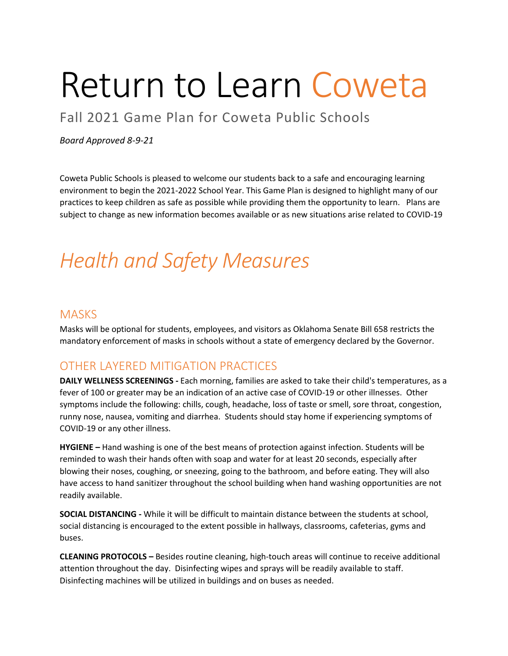# Return to Learn Coweta

Fall 2021 Game Plan for Coweta Public Schools

#### *Board Approved 8-9-21*

Coweta Public Schools is pleased to welcome our students back to a safe and encouraging learning environment to begin the 2021-2022 School Year. This Game Plan is designed to highlight many of our practices to keep children as safe as possible while providing them the opportunity to learn. Plans are subject to change as new information becomes available or as new situations arise related to COVID-19

# *Health and Safety Measures*

#### **MASKS**

Masks will be optional for students, employees, and visitors as Oklahoma Senate Bill 658 restricts the mandatory enforcement of masks in schools without a state of emergency declared by the Governor.

#### OTHER LAYERED MITIGATION PRACTICES

**DAILY WELLNESS SCREENINGS -** Each morning, families are asked to take their child's temperatures, as a fever of 100 or greater may be an indication of an active case of COVID-19 or other illnesses. Other symptoms include the following: chills, cough, headache, loss of taste or smell, sore throat, congestion, runny nose, nausea, vomiting and diarrhea. Students should stay home if experiencing symptoms of COVID-19 or any other illness.

**HYGIENE –** Hand washing is one of the best means of protection against infection. Students will be reminded to wash their hands often with soap and water for at least 20 seconds, especially after blowing their noses, coughing, or sneezing, going to the bathroom, and before eating. They will also have access to hand sanitizer throughout the school building when hand washing opportunities are not readily available.

**SOCIAL DISTANCING -** While it will be difficult to maintain distance between the students at school, social distancing is encouraged to the extent possible in hallways, classrooms, cafeterias, gyms and buses.

**CLEANING PROTOCOLS –** Besides routine cleaning, high-touch areas will continue to receive additional attention throughout the day. Disinfecting wipes and sprays will be readily available to staff. Disinfecting machines will be utilized in buildings and on buses as needed.